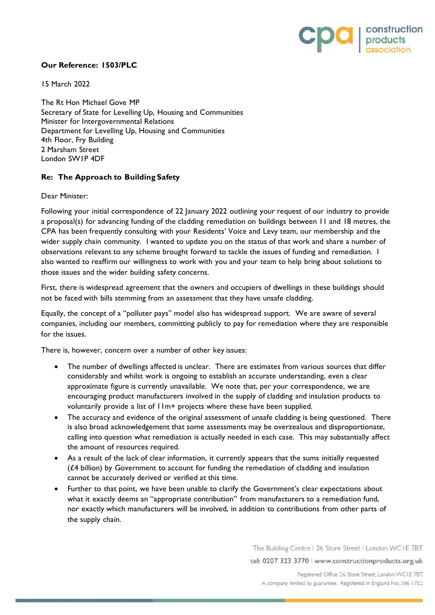

## **Our Reference: 1503/PLC**

15 March 2022

The Rt Hon Michael Gove MP Secretary of State for Levelling Up, Housing and Communities Minister for Intergovernmental Relations Department for Levelling Up, Housing and Communities 4th Floor, Fry Building 2 Marsham Street London SW1P 4DF

## **Re: The Approach to Building Safety**

Dear Minister:

Following your initial correspondence of 22 January 2022 outlining your request of our industry to provide a proposal(s) for advancing funding of the cladding remediation on buildings between 11 and 18 metres, the CPA has been frequently consulting with your Residents' Voice and Levy team, our membership and the wider supply chain community. I wanted to update you on the status of that work and share a number of observations relevant to any scheme brought forward to tackle the issues of funding and remediation. I also wanted to reaffirm our willingness to work with you and your team to help bring about solutions to those issues and the wider building safety concerns.

First, there is widespread agreement that the owners and occupiers of dwellings in these buildings should not be faced with bills stemming from an assessment that they have unsafe cladding.

Equally, the concept of a "polluter pays" model also has widespread support. We are aware of several companies, including our members, committing publicly to pay for remediation where they are responsible for the issues.

There is, however, concern over a number of other key issues:

- The number of dwellings affected is unclear. There are estimates from various sources that differ considerably and whilst work is ongoing to establish an accurate understanding, even a clear approximate figure is currently unavailable. We note that, per your correspondence, we are encouraging product manufacturers involved in the supply of cladding and insulation products to voluntarily provide a list of 11m+ projects where these have been supplied.
- The accuracy and evidence of the original assessment of unsafe cladding is being questioned. There is also broad acknowledgement that some assessments may be overzealous and disproportionate, calling into question what remediation is actually needed in each case. This may substantially affect the amount of resources required.
- As a result of the lack of clear information, it currently appears that the sums initially requested  $(f.4$  billion) by Government to account for funding the remediation of cladding and insulation cannot be accurately derived or verified at this time.
- Further to that point, we have been unable to clarify the Government's clear expectations about what it exactly deems an "appropriate contribution" from manufacturers to a remediation fund, nor exactly which manufacturers will be involved, in addition to contributions from other parts of the supply chain.

The Building Centre | 26 Store Street | London WCIE 7BT

tel: 0207 323 3770 | www.constructionproducts.org.uk

Registered Office: 26 Store Street, London WC1E 7BT. A company limited by guarantee. Registered in England No. 386 1752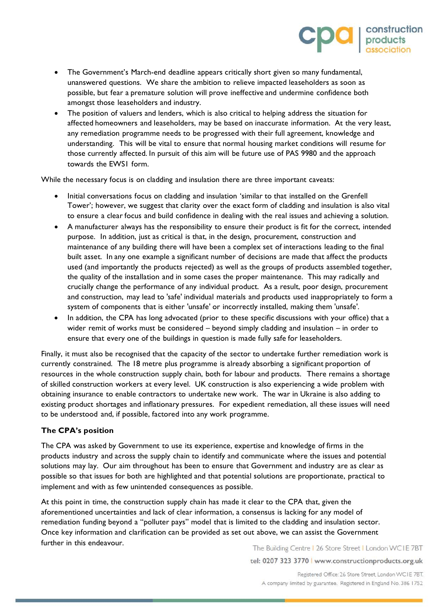- The Government's March-end deadline appears critically short given so many fundamental, unanswered questions. We share the ambition to relieve impacted leaseholders as soon as possible, but fear a premature solution will prove ineffective and undermine confidence both amongst those leaseholders and industry.
- The position of valuers and lenders, which is also critical to helping address the situation for affected homeowners and leaseholders, may be based on inaccurate information. At the very least, any remediation programme needs to be progressed with their full agreement, knowledge and understanding. This will be vital to ensure that normal housing market conditions will resume for those currently affected. In pursuit of this aim will be future use of PAS 9980 and the approach towards the EWS1 form.

While the necessary focus is on cladding and insulation there are three important caveats:

- Initial conversations focus on cladding and insulation 'similar to that installed on the Grenfell Tower'; however, we suggest that clarity over the exact form of cladding and insulation is also vital to ensure a clear focus and build confidence in dealing with the real issues and achieving a solution.
- A manufacturer always has the responsibility to ensure their product is fit for the correct, intended purpose. In addition, just as critical is that, in the design, procurement, construction and maintenance of any building there will have been a complex set of interactions leading to the final built asset. In any one example a significant number of decisions are made that affect the products used (and importantly the products rejected) as well as the groups of products assembled together, the quality of the installation and in some cases the proper maintenance. This may radically and crucially change the performance of any individual product. As a result, poor design, procurement and construction, may lead to 'safe' individual materials and products used inappropriately to form a system of components that is either 'unsafe' or incorrectly installed, making them 'unsafe'.
- In addition, the CPA has long advocated (prior to these specific discussions with your office) that a wider remit of works must be considered – beyond simply cladding and insulation – in order to ensure that every one of the buildings in question is made fully safe for leaseholders.

Finally, it must also be recognised that the capacity of the sector to undertake further remediation work is currently constrained. The 18 metre plus programme is already absorbing a significant proportion of resources in the whole construction supply chain, both for labour and products. There remains a shortage of skilled construction workers at every level. UK construction is also experiencing a wide problem with obtaining insurance to enable contractors to undertake new work. The war in Ukraine is also adding to existing product shortages and inflationary pressures. For expedient remediation, all these issues will need to be understood and, if possible, factored into any work programme.

## **The CPA's position**

The CPA was asked by Government to use its experience, expertise and knowledge of firms in the products industry and across the supply chain to identify and communicate where the issues and potential solutions may lay. Our aim throughout has been to ensure that Government and industry are as clear as possible so that issues for both are highlighted and that potential solutions are proportionate, practical to implement and with as few unintended consequences as possible.

At this point in time, the construction supply chain has made it clear to the CPA that, given the aforementioned uncertainties and lack of clear information, a consensus is lacking for any model of remediation funding beyond a "polluter pays" model that is limited to the cladding and insulation sector. Once key information and clarification can be provided as set out above, we can assist the Government further in this endeavour.

The Building Centre | 26 Store Street | London WCIE 7BT

tel: 0207 323 3770 | www.constructionproducts.org.uk

Registered Office: 26 Store Street, London WC1E 7BT. A company limited by guarantee. Registered in England No. 386 1752